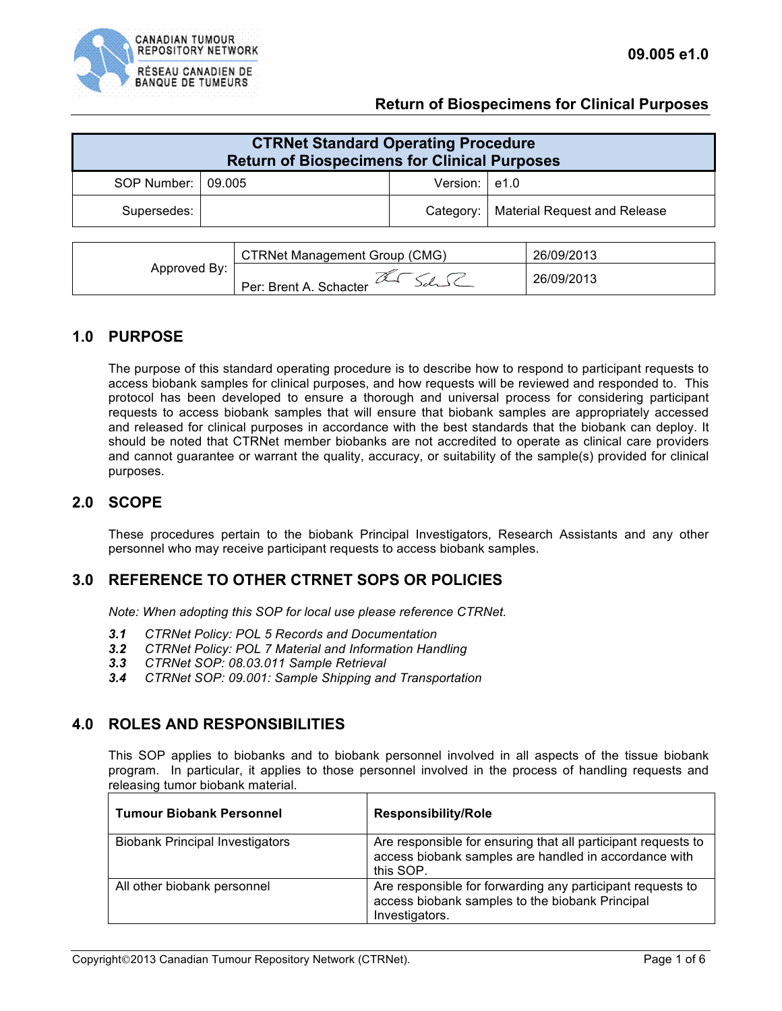

### **Return of Biospecimens for Clinical Purposes**

| <b>CTRNet Standard Operating Procedure</b><br><b>Return of Biospecimens for Clinical Purposes</b> |        |                  |                                          |  |
|---------------------------------------------------------------------------------------------------|--------|------------------|------------------------------------------|--|
| SOP Number:                                                                                       | 09.005 | Version: $ e1.0$ |                                          |  |
| Supersedes:                                                                                       |        |                  | Category:   Material Request and Release |  |

|              | CTRNet Management Group (CMG) | 26/09/2013 |
|--------------|-------------------------------|------------|
| Approved By: | Per: Brent A. Schacter        | 26/09/2013 |

### **1.0 PURPOSE**

The purpose of this standard operating procedure is to describe how to respond to participant requests to access biobank samples for clinical purposes, and how requests will be reviewed and responded to. This protocol has been developed to ensure a thorough and universal process for considering participant requests to access biobank samples that will ensure that biobank samples are appropriately accessed and released for clinical purposes in accordance with the best standards that the biobank can deploy. It should be noted that CTRNet member biobanks are not accredited to operate as clinical care providers and cannot guarantee or warrant the quality, accuracy, or suitability of the sample(s) provided for clinical purposes.

## **2.0 SCOPE**

These procedures pertain to the biobank Principal Investigators, Research Assistants and any other personnel who may receive participant requests to access biobank samples.

### **3.0 REFERENCE TO OTHER CTRNET SOPS OR POLICIES**

*Note: When adopting this SOP for local use please reference CTRNet.*

- *3.1 CTRNet Policy: POL 5 Records and Documentation*
- *3.2 CTRNet Policy: POL 7 Material and Information Handling*
- *3.3 CTRNet SOP: 08.03.011 Sample Retrieval*
- *3.4 CTRNet SOP: 09.001: Sample Shipping and Transportation*

## **4.0 ROLES AND RESPONSIBILITIES**

This SOP applies to biobanks and to biobank personnel involved in all aspects of the tissue biobank program. In particular, it applies to those personnel involved in the process of handling requests and releasing tumor biobank material.

| <b>Tumour Biobank Personnel</b>        | <b>Responsibility/Role</b>                                                                                                          |
|----------------------------------------|-------------------------------------------------------------------------------------------------------------------------------------|
| <b>Biobank Principal Investigators</b> | Are responsible for ensuring that all participant requests to<br>access biobank samples are handled in accordance with<br>this SOP. |
| All other biobank personnel            | Are responsible for forwarding any participant requests to<br>access biobank samples to the biobank Principal<br>Investigators.     |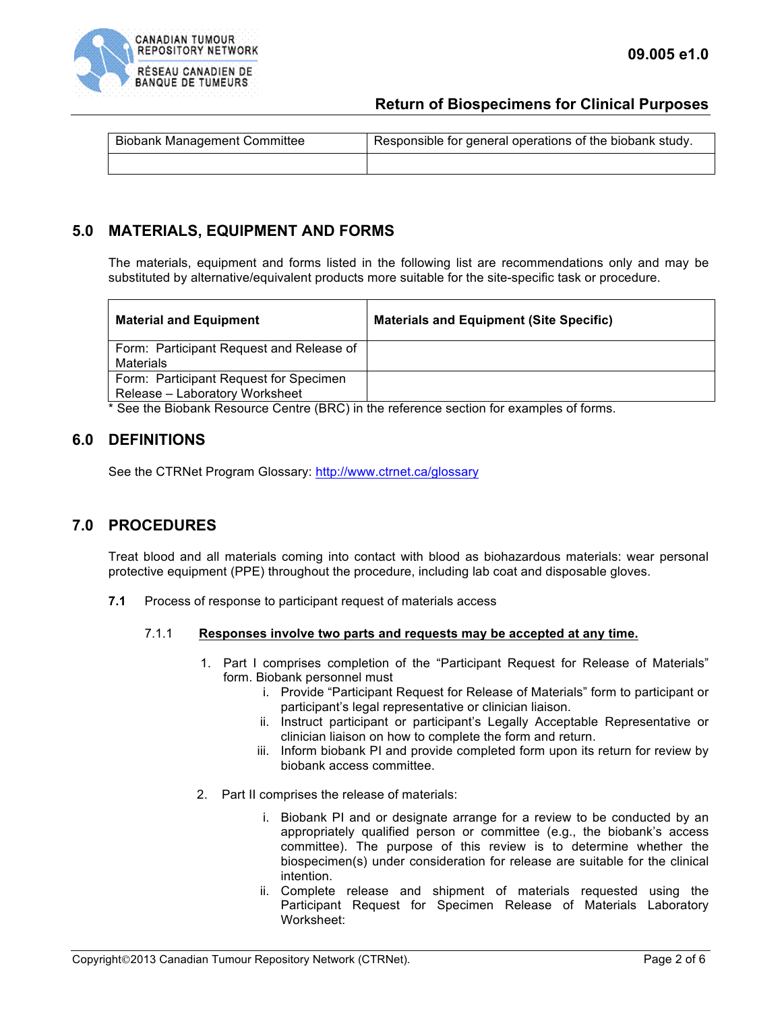

## **Return of Biospecimens for Clinical Purposes**

| <b>Biobank Management Committee</b> | Responsible for general operations of the biobank study. |  |
|-------------------------------------|----------------------------------------------------------|--|
|                                     |                                                          |  |

# **5.0 MATERIALS, EQUIPMENT AND FORMS**

The materials, equipment and forms listed in the following list are recommendations only and may be substituted by alternative/equivalent products more suitable for the site-specific task or procedure.

| <b>Material and Equipment</b>                                                                                                          | <b>Materials and Equipment (Site Specific)</b> |
|----------------------------------------------------------------------------------------------------------------------------------------|------------------------------------------------|
| Form: Participant Request and Release of<br>Materials                                                                                  |                                                |
| Form: Participant Request for Specimen                                                                                                 |                                                |
| Release – Laboratory Worksheet<br>$\ast$ 0. . The interest in the component of the problems of the contract of the contract of females |                                                |

See the Biobank Resource Centre (BRC) in the reference section for examples of forms.

### **6.0 DEFINITIONS**

See the CTRNet Program Glossary: http://www.ctrnet.ca/glossary

## **7.0 PROCEDURES**

Treat blood and all materials coming into contact with blood as biohazardous materials: wear personal protective equipment (PPE) throughout the procedure, including lab coat and disposable gloves.

**7.1** Process of response to participant request of materials access

#### 7.1.1 **Responses involve two parts and requests may be accepted at any time.**

- 1. Part I comprises completion of the "Participant Request for Release of Materials" form. Biobank personnel must
	- i. Provide "Participant Request for Release of Materials" form to participant or participant's legal representative or clinician liaison.
	- ii. Instruct participant or participant's Legally Acceptable Representative or clinician liaison on how to complete the form and return.
	- iii. Inform biobank PI and provide completed form upon its return for review by biobank access committee.
- 2. Part II comprises the release of materials:
	- i. Biobank PI and or designate arrange for a review to be conducted by an appropriately qualified person or committee (e.g., the biobank's access committee). The purpose of this review is to determine whether the biospecimen(s) under consideration for release are suitable for the clinical intention.
	- ii. Complete release and shipment of materials requested using the Participant Request for Specimen Release of Materials Laboratory Worksheet: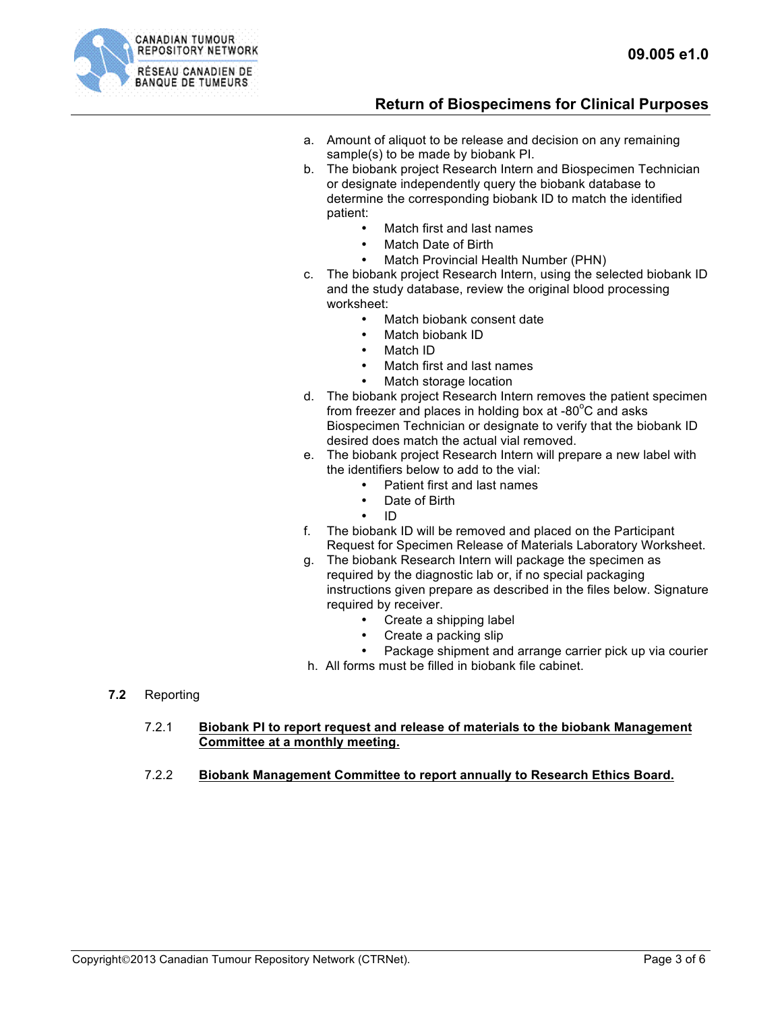

# **Return of Biospecimens for Clinical Purposes**

- a. Amount of aliquot to be release and decision on any remaining sample(s) to be made by biobank PI.
- b. The biobank project Research Intern and Biospecimen Technician or designate independently query the biobank database to determine the corresponding biobank ID to match the identified patient:
	- Match first and last names
	- Match Date of Birth
	- Match Provincial Health Number (PHN)
- c. The biobank project Research Intern, using the selected biobank ID and the study database, review the original blood processing worksheet:
	- Match biobank consent date
	- Match biobank ID
	- Match ID
	- Match first and last names
	- Match storage location
- d. The biobank project Research Intern removes the patient specimen from freezer and places in holding box at -80 $^{\circ}$ C and asks Biospecimen Technician or designate to verify that the biobank ID desired does match the actual vial removed.
- e. The biobank project Research Intern will prepare a new label with the identifiers below to add to the vial:
	- Patient first and last names
	- Date of Birth
	- ID
- f. The biobank ID will be removed and placed on the Participant Request for Specimen Release of Materials Laboratory Worksheet.
- g. The biobank Research Intern will package the specimen as required by the diagnostic lab or, if no special packaging instructions given prepare as described in the files below. Signature required by receiver.
	- Create a shipping label
	- Create a packing slip
	- Package shipment and arrange carrier pick up via courier
- h. All forms must be filled in biobank file cabinet.

**7.2** Reporting

#### 7.2.1 **Biobank PI to report request and release of materials to the biobank Management Committee at a monthly meeting.**

7.2.2 **Biobank Management Committee to report annually to Research Ethics Board.**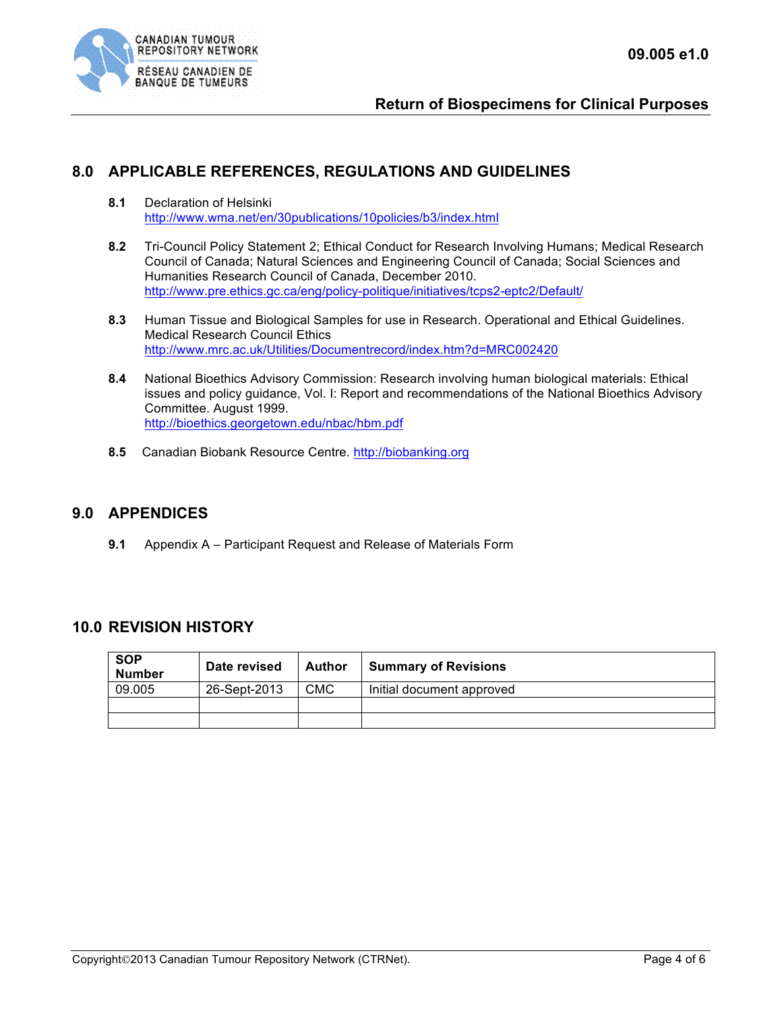

# **8.0 APPLICABLE REFERENCES, REGULATIONS AND GUIDELINES**

- **8.1** Declaration of Helsinki http://www.wma.net/en/30publications/10policies/b3/index.html
- **8.2** Tri-Council Policy Statement 2; Ethical Conduct for Research Involving Humans; Medical Research Council of Canada; Natural Sciences and Engineering Council of Canada; Social Sciences and Humanities Research Council of Canada, December 2010. http://www.pre.ethics.gc.ca/eng/policy-politique/initiatives/tcps2-eptc2/Default/
- **8.3** Human Tissue and Biological Samples for use in Research. Operational and Ethical Guidelines. Medical Research Council Ethics http://www.mrc.ac.uk/Utilities/Documentrecord/index.htm?d=MRC002420
- **8.4** National Bioethics Advisory Commission: Research involving human biological materials: Ethical issues and policy guidance, Vol. I: Report and recommendations of the National Bioethics Advisory Committee. August 1999. http://bioethics.georgetown.edu/nbac/hbm.pdf
- **8.5** Canadian Biobank Resource Centre. http://biobanking.org

## **9.0 APPENDICES**

**9.1** Appendix A – Participant Request and Release of Materials Form

## **10.0 REVISION HISTORY**

| <b>SOP</b><br><b>Number</b> | Date revised | <b>Author</b> | <b>Summary of Revisions</b> |
|-----------------------------|--------------|---------------|-----------------------------|
| 09.005                      | 26-Sept-2013 | CMC           | Initial document approved   |
|                             |              |               |                             |
|                             |              |               |                             |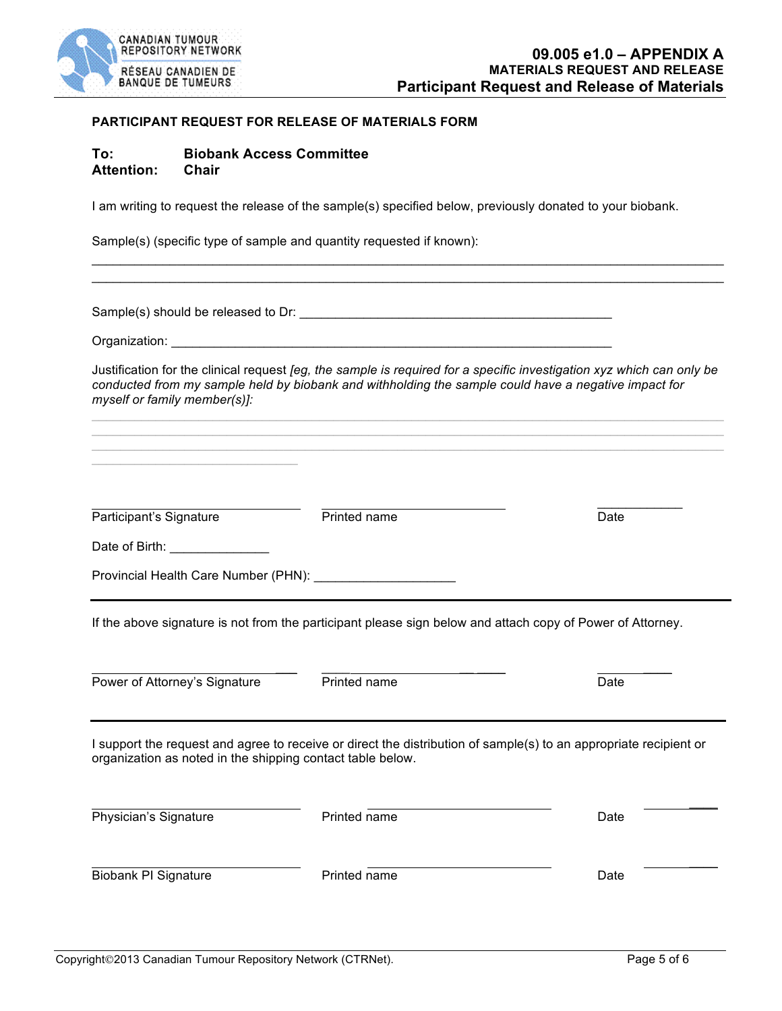

#### **PARTICIPANT REQUEST FOR RELEASE OF MATERIALS FORM**

### **To: Biobank Access Committee Attention: Chair**

I am writing to request the release of the sample(s) specified below, previously donated to your biobank.

Sample(s) (specific type of sample and quantity requested if known):

Provincial Health Care Number (PHN): \_\_\_\_\_\_\_\_\_\_\_\_\_\_\_\_\_\_\_\_

Sample(s) should be released to Dr: \_\_\_\_\_\_\_\_\_\_\_\_\_\_\_\_\_\_\_\_\_\_\_\_\_\_\_\_\_\_\_\_\_\_\_\_\_\_\_\_\_\_\_\_

Date of Birth:

Organization: \_\_\_\_\_\_\_\_\_\_\_\_\_\_\_\_\_\_\_\_\_\_\_\_\_\_\_\_\_\_\_\_\_\_\_\_\_\_\_\_\_\_\_\_\_\_\_\_\_\_\_\_\_\_\_\_\_\_\_\_\_\_

Justification for the clinical request *[eg, the sample is required for a specific investigation xyz which can only be conducted from my sample held by biobank and withholding the sample could have a negative impact for myself or family member(s)]:*

 $\mathcal{L}_\mathcal{L} = \mathcal{L}_\mathcal{L} = \mathcal{L}_\mathcal{L} = \mathcal{L}_\mathcal{L} = \mathcal{L}_\mathcal{L} = \mathcal{L}_\mathcal{L} = \mathcal{L}_\mathcal{L} = \mathcal{L}_\mathcal{L} = \mathcal{L}_\mathcal{L} = \mathcal{L}_\mathcal{L} = \mathcal{L}_\mathcal{L} = \mathcal{L}_\mathcal{L} = \mathcal{L}_\mathcal{L} = \mathcal{L}_\mathcal{L} = \mathcal{L}_\mathcal{L} = \mathcal{L}_\mathcal{L} = \mathcal{L}_\mathcal{L}$ 

 $\mathcal{L}_\mathcal{L} = \mathcal{L}_\mathcal{L} = \mathcal{L}_\mathcal{L} = \mathcal{L}_\mathcal{L} = \mathcal{L}_\mathcal{L} = \mathcal{L}_\mathcal{L} = \mathcal{L}_\mathcal{L} = \mathcal{L}_\mathcal{L} = \mathcal{L}_\mathcal{L} = \mathcal{L}_\mathcal{L} = \mathcal{L}_\mathcal{L} = \mathcal{L}_\mathcal{L} = \mathcal{L}_\mathcal{L} = \mathcal{L}_\mathcal{L} = \mathcal{L}_\mathcal{L} = \mathcal{L}_\mathcal{L} = \mathcal{L}_\mathcal{L}$ 

\_\_\_\_\_\_\_\_\_\_\_\_

\_\_\_ \_\_\_\_ \_\_ \_\_\_\_ \_\_\_\_

 $\mathcal{L}_\mathcal{L} = \mathcal{L}_\mathcal{L} = \mathcal{L}_\mathcal{L} = \mathcal{L}_\mathcal{L} = \mathcal{L}_\mathcal{L} = \mathcal{L}_\mathcal{L} = \mathcal{L}_\mathcal{L} = \mathcal{L}_\mathcal{L} = \mathcal{L}_\mathcal{L} = \mathcal{L}_\mathcal{L} = \mathcal{L}_\mathcal{L} = \mathcal{L}_\mathcal{L} = \mathcal{L}_\mathcal{L} = \mathcal{L}_\mathcal{L} = \mathcal{L}_\mathcal{L} = \mathcal{L}_\mathcal{L} = \mathcal{L}_\mathcal{L}$  $\mathcal{L}_\mathcal{L} = \mathcal{L}_\mathcal{L} = \mathcal{L}_\mathcal{L} = \mathcal{L}_\mathcal{L} = \mathcal{L}_\mathcal{L} = \mathcal{L}_\mathcal{L} = \mathcal{L}_\mathcal{L} = \mathcal{L}_\mathcal{L} = \mathcal{L}_\mathcal{L} = \mathcal{L}_\mathcal{L} = \mathcal{L}_\mathcal{L} = \mathcal{L}_\mathcal{L} = \mathcal{L}_\mathcal{L} = \mathcal{L}_\mathcal{L} = \mathcal{L}_\mathcal{L} = \mathcal{L}_\mathcal{L} = \mathcal{L}_\mathcal{L}$ 

If the above signature is not from the participant please sign below and attach copy of Power of Attorney.

Participant's Signature **Printed name Printed name Date Date** 

Power of Attorney's Signature **Printed name** Printed name Date I support the request and agree to receive or direct the distribution of sample(s) to an appropriate recipient or organization as noted in the shipping contact table below. \_\_\_\_ Physician's Signature **Printed name** Printed name **Date** Date

Biobank PI Signature **Printed name Date Date Date** 

 $\mathcal{L}_\mathcal{L} = \mathcal{L}_\mathcal{L}$  , where  $\mathcal{L}_\mathcal{L} = \mathcal{L}_\mathcal{L}$  , we can construct the contribution of  $\mathcal{L}_\mathcal{L}$